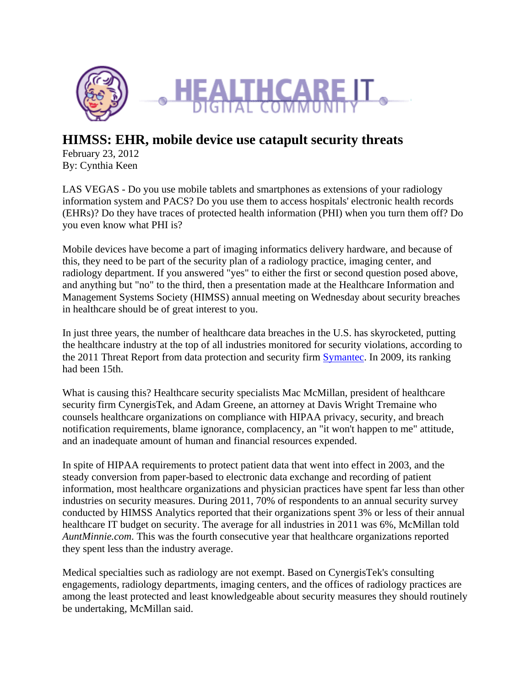

# **HIMSS: EHR, mobile device use catapult security threats**

February 23, 2012 By: Cynthia Keen

LAS VEGAS - Do you use mobile tablets and smartphones as extensions of your radiology information system and PACS? Do you use them to access hospitals' electronic health records (EHRs)? Do they have traces of protected health information (PHI) when you turn them off? Do you even know what PHI is?

Mobile devices have become a part of imaging informatics delivery hardware, and because of this, they need to be part of the security plan of a radiology practice, imaging center, and radiology department. If you answered "yes" to either the first or second question posed above, and anything but "no" to the third, then a presentation made at the Healthcare Information and Management Systems Society (HIMSS) annual meeting on Wednesday about security breaches in healthcare should be of great interest to you.

In just three years, the number of healthcare data breaches in the U.S. has skyrocketed, putting the healthcare industry at the top of all industries monitored for security violations, according to the 2011 Threat Report from data protection and security firm **Symantec**. In 2009, its ranking had been 15th.

What is causing this? Healthcare security specialists Mac McMillan, president of healthcare security firm CynergisTek, and Adam Greene, an attorney at Davis Wright Tremaine who counsels healthcare organizations on compliance with HIPAA privacy, security, and breach notification requirements, blame ignorance, complacency, an "it won't happen to me" attitude, and an inadequate amount of human and financial resources expended.

In spite of HIPAA requirements to protect patient data that went into effect in 2003, and the steady conversion from paper-based to electronic data exchange and recording of patient information, most healthcare organizations and physician practices have spent far less than other industries on security measures. During 2011, 70% of respondents to an annual security survey conducted by HIMSS Analytics reported that their organizations spent 3% or less of their annual healthcare IT budget on security. The average for all industries in 2011 was 6%, McMillan told *AuntMinnie.com*. This was the fourth consecutive year that healthcare organizations reported they spent less than the industry average.

Medical specialties such as radiology are not exempt. Based on CynergisTek's consulting engagements, radiology departments, imaging centers, and the offices of radiology practices are among the least protected and least knowledgeable about security measures they should routinely be undertaking, McMillan said.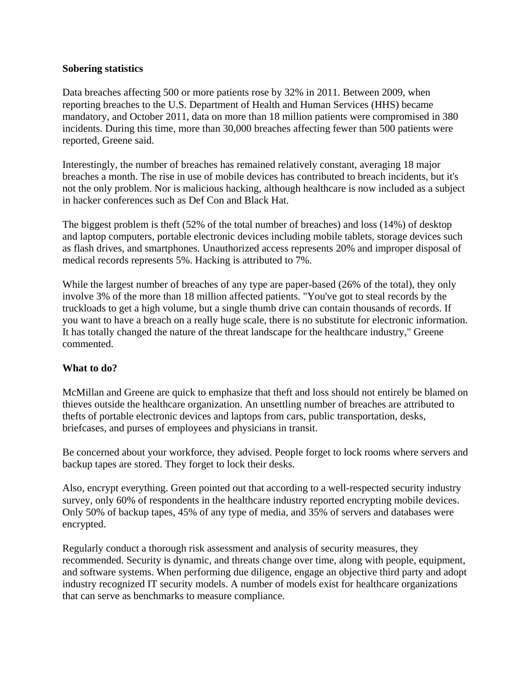## **Sobering statistics**

Data breaches affecting 500 or more patients rose by 32% in 2011. Between 2009, when reporting breaches to the U.S. Department of Health and Human Services (HHS) became mandatory, and October 2011, data on more than 18 million patients were compromised in 380 incidents. During this time, more than 30,000 breaches affecting fewer than 500 patients were reported, Greene said.

Interestingly, the number of breaches has remained relatively constant, averaging 18 major breaches a month. The rise in use of mobile devices has contributed to breach incidents, but it's not the only problem. Nor is malicious hacking, although healthcare is now included as a subject in hacker conferences such as Def Con and Black Hat.

The biggest problem is theft (52% of the total number of breaches) and loss (14%) of desktop and laptop computers, portable electronic devices including mobile tablets, storage devices such as flash drives, and smartphones. Unauthorized access represents 20% and improper disposal of medical records represents 5%. Hacking is attributed to 7%.

While the largest number of breaches of any type are paper-based (26% of the total), they only involve 3% of the more than 18 million affected patients. "You've got to steal records by the truckloads to get a high volume, but a single thumb drive can contain thousands of records. If you want to have a breach on a really huge scale, there is no substitute for electronic information. It has totally changed the nature of the threat landscape for the healthcare industry," Greene commented.

## **What to do?**

McMillan and Greene are quick to emphasize that theft and loss should not entirely be blamed on thieves outside the healthcare organization. An unsettling number of breaches are attributed to thefts of portable electronic devices and laptops from cars, public transportation, desks, briefcases, and purses of employees and physicians in transit.

Be concerned about your workforce, they advised. People forget to lock rooms where servers and backup tapes are stored. They forget to lock their desks.

Also, encrypt everything. Green pointed out that according to a well-respected security industry survey, only 60% of respondents in the healthcare industry reported encrypting mobile devices. Only 50% of backup tapes, 45% of any type of media, and 35% of servers and databases were encrypted.

Regularly conduct a thorough risk assessment and analysis of security measures, they recommended. Security is dynamic, and threats change over time, along with people, equipment, and software systems. When performing due diligence, engage an objective third party and adopt industry recognized IT security models. A number of models exist for healthcare organizations that can serve as benchmarks to measure compliance.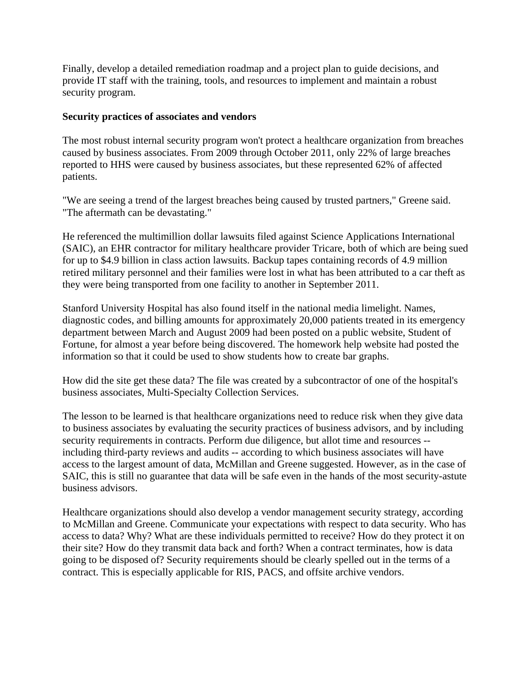Finally, develop a detailed remediation roadmap and a project plan to guide decisions, and provide IT staff with the training, tools, and resources to implement and maintain a robust security program.

## **Security practices of associates and vendors**

The most robust internal security program won't protect a healthcare organization from breaches caused by business associates. From 2009 through October 2011, only 22% of large breaches reported to HHS were caused by business associates, but these represented 62% of affected patients.

"We are seeing a trend of the largest breaches being caused by trusted partners," Greene said. "The aftermath can be devastating."

He referenced the multimillion dollar lawsuits filed against Science Applications International (SAIC), an EHR contractor for military healthcare provider Tricare, both of which are being sued for up to \$4.9 billion in class action lawsuits. Backup tapes containing records of 4.9 million retired military personnel and their families were lost in what has been attributed to a car theft as they were being transported from one facility to another in September 2011.

Stanford University Hospital has also found itself in the national media limelight. Names, diagnostic codes, and billing amounts for approximately 20,000 patients treated in its emergency department between March and August 2009 had been posted on a public website, Student of Fortune, for almost a year before being discovered. The homework help website had posted the information so that it could be used to show students how to create bar graphs.

How did the site get these data? The file was created by a subcontractor of one of the hospital's business associates, Multi-Specialty Collection Services.

The lesson to be learned is that healthcare organizations need to reduce risk when they give data to business associates by evaluating the security practices of business advisors, and by including security requirements in contracts. Perform due diligence, but allot time and resources - including third-party reviews and audits -- according to which business associates will have access to the largest amount of data, McMillan and Greene suggested. However, as in the case of SAIC, this is still no guarantee that data will be safe even in the hands of the most security-astute business advisors.

Healthcare organizations should also develop a vendor management security strategy, according to McMillan and Greene. Communicate your expectations with respect to data security. Who has access to data? Why? What are these individuals permitted to receive? How do they protect it on their site? How do they transmit data back and forth? When a contract terminates, how is data going to be disposed of? Security requirements should be clearly spelled out in the terms of a contract. This is especially applicable for RIS, PACS, and offsite archive vendors.